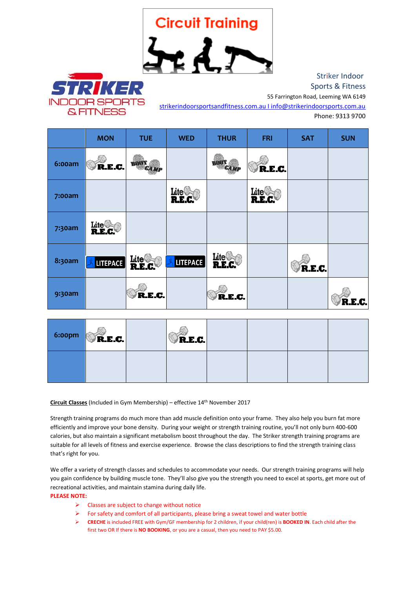## **Circuit Training**

 $\star$  d



 Striker Indoor Sports & Fitness 55 Farrington Road, Leeming WA 6149

[strikerindoorsportsandfitness.com.au I info@strikerindoorsports.com.au](mailto:strikerindoorsportsandfitness.com.au%20I%20info@strikerindoorsports.com.au%20%7Cinfo@strikerindoorsports.com.au%7C) 

Phone: 9313 9700

|               | <b>MON</b>                  | <b>TUE</b>     | <b>WED</b>                 | <b>THUR</b>                 | <b>FRI</b>                      | <b>SAT</b> | <b>SUN</b> |
|---------------|-----------------------------|----------------|----------------------------|-----------------------------|---------------------------------|------------|------------|
| <b>6:00am</b> | R.E.C.                      | CAM            |                            | <b>EAMT</b>                 | R.E.C.                          |            |            |
| 7:00am        |                             |                | $_{\rm \bf{Life}}$<br>R.E. |                             | $\mathbf{Life}^{\langle}$<br>R. |            |            |
| 7:30am        | Lite <sup>n</sup><br>R.E.C. |                |                            |                             |                                 |            |            |
| <b>8:30am</b> | <b>LITEPACE</b>             | Lite<br>R.E.C. | LITEPACE                   | $_{\rm \bf Life}$<br>R.E.C. |                                 | R.E.C.     |            |
| 9:30am        |                             | R.E.C.         |                            | R.E.C.                      |                                 |            | R.E.C.     |

| 6:00pm | R.E.C. | R.E.C. |  |  |
|--------|--------|--------|--|--|
|        |        |        |  |  |

**Circuit Classes** (Included in Gym Membership) – effective 14th November 2017

Strength training programs do much more than add muscle definition onto your frame. They also help you burn fat more efficiently and improve your bone density. During your weight or strength training routine, you'll not only burn 400-600 calories, but also maintain a significant metabolism boost throughout the day. The Striker strength training programs are suitable for all levels of fitness and exercise experience. Browse the class descriptions to find the strength training class that's right for you.

We offer a variety of strength classes and schedules to accommodate your needs. Our strength training programs will help you gain confidence by building muscle tone. They'll also give you the strength you need to excel at sports, get more out of recreational activities, and maintain stamina during daily life.

## **PLEASE NOTE:**

- $\triangleright$  Classes are subject to change without notice
- $\triangleright$  For safety and comfort of all participants, please bring a sweat towel and water bottle
- **CRECHE** is included FREE with Gym/GF membership for 2 children, if your child(ren) is **BOOKED IN**. Each child after the first two OR If there is **NO BOOKING**, or you are a casual, then you need to PAY \$5.00.